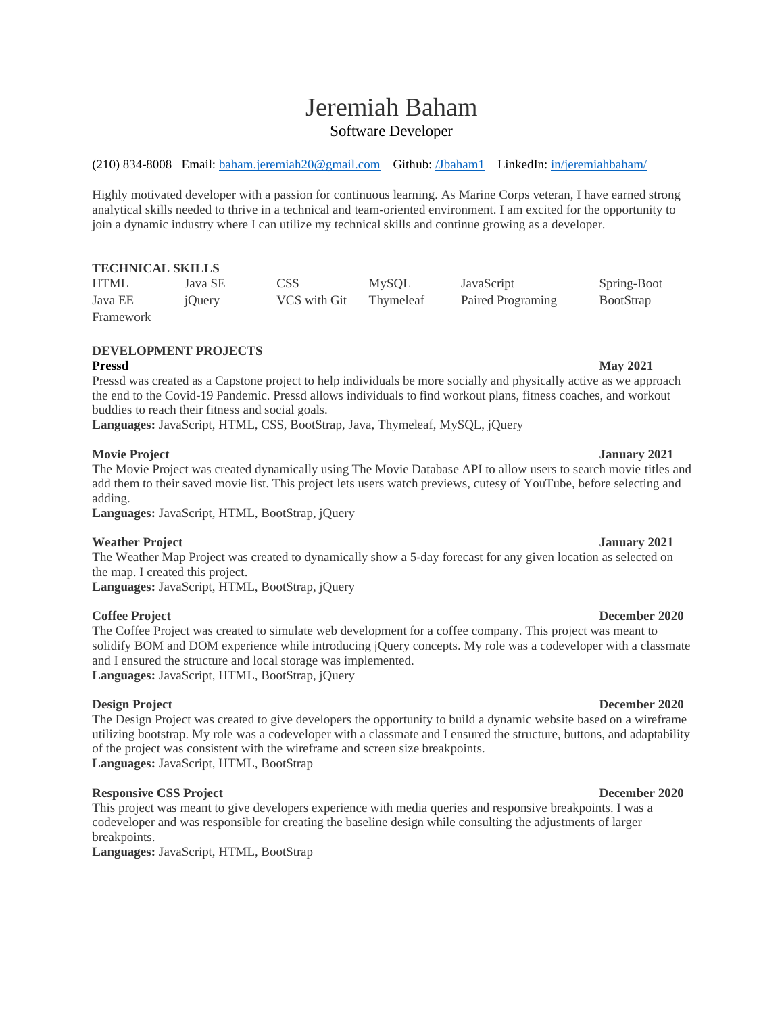# Jeremiah Baham Software Developer

(210) 834-8008 Email: [baham.jeremiah20@gmail.com](mailto:baham.jeremiah20@gmail.com) Github: [/Jbaham1](https://github.com/Jbaham1) LinkedIn: [in/jeremiahbaham/](https://www.linkedin.com/in/jeremiahbaham/)

Highly motivated developer with a passion for continuous learning. As Marine Corps veteran, I have earned strong analytical skills needed to thrive in a technical and team-oriented environment. I am excited for the opportunity to join a dynamic industry where I can utilize my technical skills and continue growing as a developer.

# **TECHNICAL SKILLS**

| <b>HTML</b> | Java SE | CSS          | <b>MySOL</b> | JavaScript        | Spring-Boot      |
|-------------|---------|--------------|--------------|-------------------|------------------|
| Java EE     | iOuery  | VCS with Git | Thymeleaf    | Paired Programing | <b>BootStrap</b> |
| Framework   |         |              |              |                   |                  |

# **DEVELOPMENT PROJECTS**

Pressd was created as a Capstone project to help individuals be more socially and physically active as we approach the end to the Covid-19 Pandemic. Pressd allows individuals to find workout plans, fitness coaches, and workout buddies to reach their fitness and social goals.

**Languages:** JavaScript, HTML, CSS, BootStrap, Java, Thymeleaf, MySQL, jQuery

# **Movie Project January 2021**

The Movie Project was created dynamically using The Movie Database API to allow users to search movie titles and add them to their saved movie list. This project lets users watch previews, cutesy of YouTube, before selecting and adding.

**Languages:** JavaScript, HTML, BootStrap, jQuery

# **Weather Project January 2021**

The Weather Map Project was created to dynamically show a 5-day forecast for any given location as selected on the map. I created this project.

**Languages:** JavaScript, HTML, BootStrap, jQuery

# **Coffee Project December 2020**

The Coffee Project was created to simulate web development for a coffee company. This project was meant to solidify BOM and DOM experience while introducing jQuery concepts. My role was a codeveloper with a classmate and I ensured the structure and local storage was implemented. **Languages:** JavaScript, HTML, BootStrap, jQuery

The Design Project was created to give developers the opportunity to build a dynamic website based on a wireframe utilizing bootstrap. My role was a codeveloper with a classmate and I ensured the structure, buttons, and adaptability of the project was consistent with the wireframe and screen size breakpoints. **Languages:** JavaScript, HTML, BootStrap

### **Responsive CSS Project December 2020**

This project was meant to give developers experience with media queries and responsive breakpoints. I was a codeveloper and was responsible for creating the baseline design while consulting the adjustments of larger breakpoints.

**Languages:** JavaScript, HTML, BootStrap

### **Design Project December 2020**

# **Pressd May 2021**